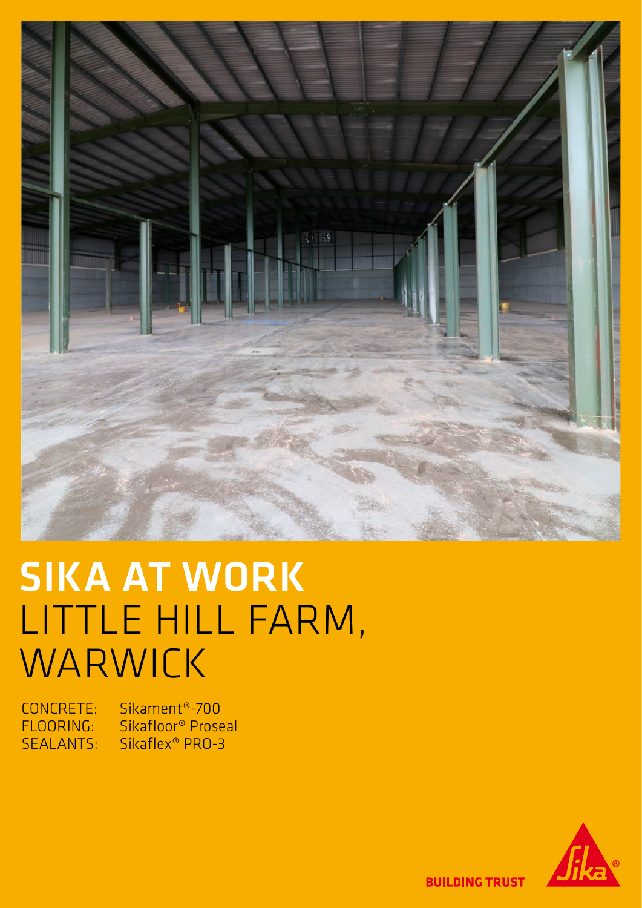

# SIKA AT WORK LITTLE HILL FARM, WARWICK

CONCRETE: Sikament®-700 Sikafloor® Proseal SEALANTS: Sikaflex® PRO-3



**BUILDING TRUST**